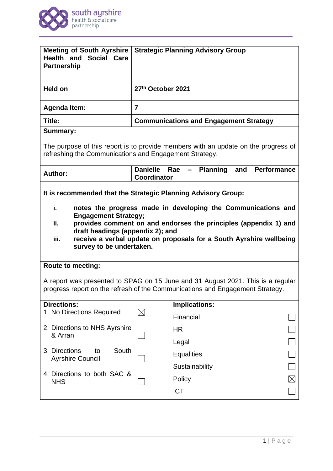

| <b>Meeting of South Ayrshire</b><br><b>Health and Social Care</b><br><b>Partnership</b>                                                                                                                                                                                                                                                                                                      |                                    | <b>Strategic Planning Advisory Group</b>               |  |
|----------------------------------------------------------------------------------------------------------------------------------------------------------------------------------------------------------------------------------------------------------------------------------------------------------------------------------------------------------------------------------------------|------------------------------------|--------------------------------------------------------|--|
| <b>Held on</b>                                                                                                                                                                                                                                                                                                                                                                               | 27th October 2021                  |                                                        |  |
| <b>Agenda Item:</b>                                                                                                                                                                                                                                                                                                                                                                          | $\overline{7}$                     |                                                        |  |
| Title:                                                                                                                                                                                                                                                                                                                                                                                       |                                    | <b>Communications and Engagement Strategy</b>          |  |
| <b>Summary:</b>                                                                                                                                                                                                                                                                                                                                                                              |                                    |                                                        |  |
| The purpose of this report is to provide members with an update on the progress of<br>refreshing the Communications and Engagement Strategy.                                                                                                                                                                                                                                                 |                                    |                                                        |  |
| <b>Author:</b>                                                                                                                                                                                                                                                                                                                                                                               | Danielle Rae<br><b>Coordinator</b> | <b>Planning</b><br><b>Performance</b><br>and<br>$\sim$ |  |
| It is recommended that the Strategic Planning Advisory Group:<br>i.<br>notes the progress made in developing the Communications and<br><b>Engagement Strategy;</b><br>provides comment on and endorses the principles (appendix 1) and<br>ii.<br>draft headings (appendix 2); and<br>receive a verbal update on proposals for a South Ayrshire wellbeing<br>iii.<br>survey to be undertaken. |                                    |                                                        |  |
| <b>Route to meeting:</b>                                                                                                                                                                                                                                                                                                                                                                     |                                    |                                                        |  |
| A report was presented to SPAG on 15 June and 31 August 2021. This is a regular<br>progress report on the refresh of the Communications and Engagement Strategy.                                                                                                                                                                                                                             |                                    |                                                        |  |
| <b>Directions:</b>                                                                                                                                                                                                                                                                                                                                                                           |                                    | Implications:                                          |  |
| 1. No Directions Required                                                                                                                                                                                                                                                                                                                                                                    | $\boxtimes$                        | Financial                                              |  |
| 2. Directions to NHS Ayrshire<br>& Arran                                                                                                                                                                                                                                                                                                                                                     |                                    | <b>HR</b>                                              |  |
|                                                                                                                                                                                                                                                                                                                                                                                              |                                    | Legal                                                  |  |
| South<br>3. Directions<br>to<br><b>Ayrshire Council</b>                                                                                                                                                                                                                                                                                                                                      |                                    | <b>Equalities</b>                                      |  |
| 4. Directions to both SAC &<br><b>NHS</b>                                                                                                                                                                                                                                                                                                                                                    |                                    | Sustainability                                         |  |
|                                                                                                                                                                                                                                                                                                                                                                                              |                                    | Policy                                                 |  |
|                                                                                                                                                                                                                                                                                                                                                                                              |                                    | <b>ICT</b>                                             |  |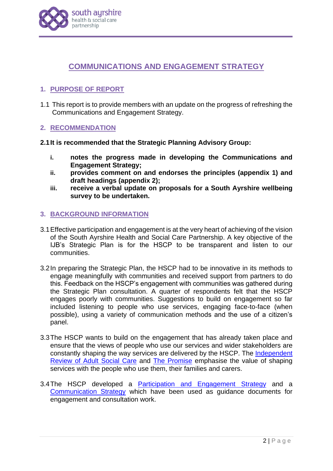

# **COMMUNICATIONS AND ENGAGEMENT STRATEGY**

## **1. PURPOSE OF REPORT**

1.1 This report is to provide members with an update on the progress of refreshing the Communications and Engagement Strategy.

## **2. RECOMMENDATION**

- **2.1It is recommended that the Strategic Planning Advisory Group:**
	- **i. notes the progress made in developing the Communications and Engagement Strategy;**
	- **ii. provides comment on and endorses the principles (appendix 1) and draft headings (appendix 2);**
	- **iii. receive a verbal update on proposals for a South Ayrshire wellbeing survey to be undertaken.**

## **3. BACKGROUND INFORMATION**

- 3.1Effective participation and engagement is at the very heart of achieving of the vision of the South Ayrshire Health and Social Care Partnership. A key objective of the IJB's Strategic Plan is for the HSCP to be transparent and listen to our communities.
- 3.2In preparing the Strategic Plan, the HSCP had to be innovative in its methods to engage meaningfully with communities and received support from partners to do this. Feedback on the HSCP's engagement with communities was gathered during the Strategic Plan consultation. A quarter of respondents felt that the HSCP engages poorly with communities. Suggestions to build on engagement so far included listening to people who use services, engaging face-to-face (when possible), using a variety of communication methods and the use of a citizen's panel.
- 3.3The HSCP wants to build on the engagement that has already taken place and ensure that the views of people who use our services and wider stakeholders are constantly shaping the way services are delivered by the HSCP. The [Independent](https://www.gov.scot/groups/independent-review-of-adult-social-care/)  [Review of Adult Social Care](https://www.gov.scot/groups/independent-review-of-adult-social-care/) and [The Promise](https://thepromise.scot/) emphasise the value of shaping services with the people who use them, their families and carers.
- 3.4The HSCP developed a [Participation and Engagement Strategy](https://www.south-ayrshire.gov.uk/health-social-care-partnership/documents/SA50614_SOUTH%20AYRSHIRE%20HEALTH_ENGAGEMENT%20STRATEGY%20Digital%20PDF_Fin%203.pdf) and a [Communication Strategy](https://www.south-ayrshire.gov.uk/health-social-care-partnership/documents/Final%20Communication%20Strategy%20and%20Plan.pdf) which have been used as guidance documents for engagement and consultation work.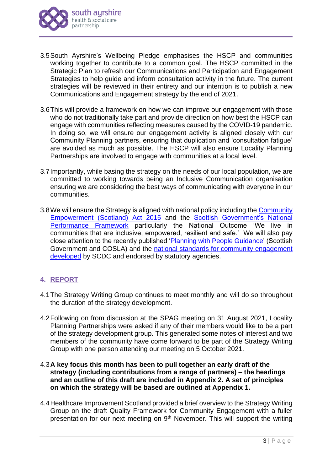

- 3.5South Ayrshire's Wellbeing Pledge emphasises the HSCP and communities working together to contribute to a common goal. The HSCP committed in the Strategic Plan to refresh our Communications and Participation and Engagement Strategies to help guide and inform consultation activity in the future. The current strategies will be reviewed in their entirety and our intention is to publish a new Communications and Engagement strategy by the end of 2021.
- 3.6This will provide a framework on how we can improve our engagement with those who do not traditionally take part and provide direction on how best the HSCP can engage with communities reflecting measures caused by the COVID-19 pandemic. In doing so, we will ensure our engagement activity is aligned closely with our Community Planning partners, ensuring that duplication and 'consultation fatigue' are avoided as much as possible. The HSCP will also ensure Locality Planning Partnerships are involved to engage with communities at a local level.
- 3.7Importantly, while basing the strategy on the needs of our local population, we are committed to working towards being an Inclusive Communication organisation ensuring we are considering the best ways of communicating with everyone in our communities.
- 3.8We will ensure the Strategy is aligned with national policy including the [Community](https://www.gov.scot/policies/community-empowerment/)  [Empowerment \(Scotland\) Act 2015](https://www.gov.scot/policies/community-empowerment/) and the [Scottish Government's National](https://nationalperformance.gov.scot/national-outcomes/communities)  [Performance Framework](https://nationalperformance.gov.scot/national-outcomes/communities) particularly the National Outcome 'We live in communities that are inclusive, empowered, resilient and safe.' We will also pay close attention to the recently published ['Planning with People Guidance'](https://www.gov.scot/publications/planning-people/pages/2/) (Scottish Government and COSLA) and the national standards for community engagement [developed](https://www.scdc.org.uk/what/national-standards) by SCDC and endorsed by statutory agencies.

## **4. REPORT**

- 4.1The Strategy Writing Group continues to meet monthly and will do so throughout the duration of the strategy development.
- 4.2Following on from discussion at the SPAG meeting on 31 August 2021, Locality Planning Partnerships were asked if any of their members would like to be a part of the strategy development group. This generated some notes of interest and two members of the community have come forward to be part of the Strategy Writing Group with one person attending our meeting on 5 October 2021.
- 4.3**A key focus this month has been to pull together an early draft of the strategy (including contributions from a range of partners) – the headings and an outline of this draft are included in Appendix 2. A set of principles on which the strategy will be based are outlined at Appendix 1.**
- 4.4Healthcare Improvement Scotland provided a brief overview to the Strategy Writing Group on the draft Quality Framework for Community Engagement with a fuller presentation for our next meeting on  $9<sup>th</sup>$  November. This will support the writing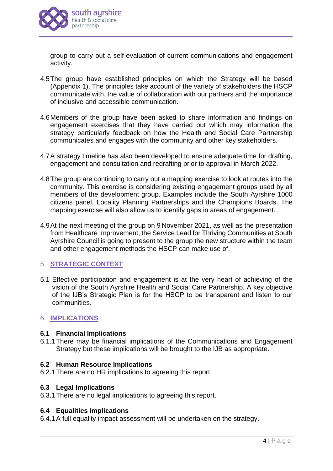

group to carry out a self-evaluation of current communications and engagement activity.

- 4.5The group have established principles on which the Strategy will be based (Appendix 1). The principles take account of the variety of stakeholders the HSCP communicate with, the value of collaboration with our partners and the importance of inclusive and accessible communication.
- 4.6Members of the group have been asked to share information and findings on engagement exercises that they have carried out which may information the strategy particularly feedback on how the Health and Social Care Partnership communicates and engages with the community and other key stakeholders.
- 4.7A strategy timeline has also been developed to ensure adequate time for drafting, engagement and consultation and redrafting prior to approval in March 2022.
- 4.8The group are continuing to carry out a mapping exercise to look at routes into the community. This exercise is considering existing engagement groups used by all members of the development group. Examples include the South Ayrshire 1000 citizens panel, Locality Planning Partnerships and the Champions Boards. The mapping exercise will also allow us to identify gaps in areas of engagement.
- 4.9At the next meeting of the group on 9 November 2021, as well as the presentation from Healthcare Improvement, the Service Lead for Thriving Communities at South Ayrshire Council is going to present to the group the new structure within the team and other engagement methods the HSCP can make use of.

## 5. **STRATEGIC CONTEXT**

5.1 Effective participation and engagement is at the very heart of achieving of the vision of the South Ayrshire Health and Social Care Partnership. A key objective of the IJB's Strategic Plan is for the HSCP to be transparent and listen to our communities.

## 6. **IMPLICATIONS**

#### **6.1 Financial Implications**

6.1.1There may be financial implications of the Communications and Engagement Strategy but these implications will be brought to the IJB as appropriate.

## **6.2 Human Resource Implications**

6.2.1There are no HR implications to agreeing this report.

#### **6.3 Legal Implications**

6.3.1There are no legal implications to agreeing this report.

## **6.4 Equalities implications**

6.4.1A full equality impact assessment will be undertaken on the strategy.